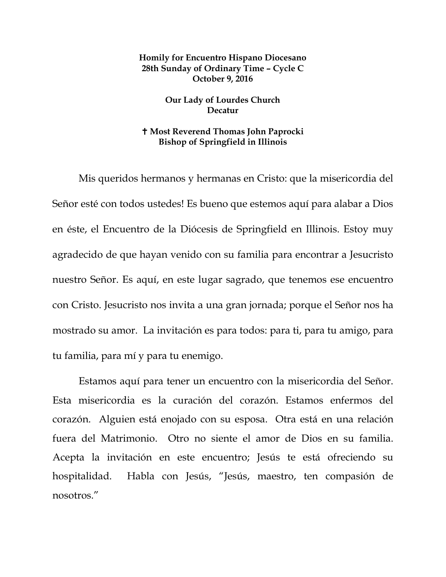## **Homily for Encuentro Hispano Diocesano 28th Sunday of Ordinary Time – Cycle C October 9, 2016**

## **Our Lady of Lourdes Church Decatur**

## **Most Reverend Thomas John Paprocki Bishop of Springfield in Illinois**

Mis queridos hermanos y hermanas en Cristo: que la misericordia del Señor esté con todos ustedes! Es bueno que estemos aquí para alabar a Dios en éste, el Encuentro de la Diócesis de Springfield en Illinois. Estoy muy agradecido de que hayan venido con su familia para encontrar a Jesucristo nuestro Señor. Es aquí, en este lugar sagrado, que tenemos ese encuentro con Cristo. Jesucristo nos invita a una gran jornada; porque el Señor nos ha mostrado su amor. La invitación es para todos: para ti, para tu amigo, para tu familia, para mí y para tu enemigo.

Estamos aquí para tener un encuentro con la misericordia del Señor. Esta misericordia es la curación del corazón. Estamos enfermos del corazón. Alguien está enojado con su esposa. Otra está en una relación fuera del Matrimonio. Otro no siente el amor de Dios en su familia. Acepta la invitación en este encuentro; Jesús te está ofreciendo su hospitalidad. Habla con Jesús, "Jesús, maestro, ten compasión de nosotros."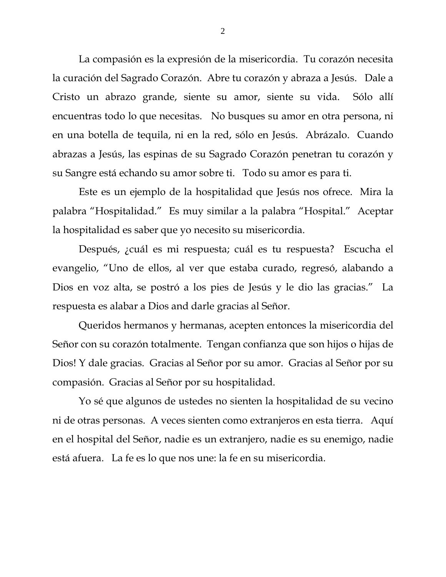La compasión es la expresión de la misericordia. Tu corazón necesita la curación del Sagrado Corazón. Abre tu corazón y abraza a Jesús. Dale a Cristo un abrazo grande, siente su amor, siente su vida. Sólo allí encuentras todo lo que necesitas. No busques su amor en otra persona, ni en una botella de tequila, ni en la red, sólo en Jesús. Abrázalo. Cuando abrazas a Jesús, las espinas de su Sagrado Corazón penetran tu corazón y su Sangre está echando su amor sobre ti. Todo su amor es para ti.

Este es un ejemplo de la hospitalidad que Jesús nos ofrece. Mira la palabra "Hospitalidad." Es muy similar a la palabra "Hospital." Aceptar la hospitalidad es saber que yo necesito su misericordia.

Después, ¿cuál es mi respuesta; cuál es tu respuesta? Escucha el evangelio, "Uno de ellos, al ver que estaba curado, regresó, alabando a Dios en voz alta, se postró a los pies de Jesús y le dio las gracias." La respuesta es alabar a Dios and darle gracias al Señor.

Queridos hermanos y hermanas, acepten entonces la misericordia del Señor con su corazón totalmente. Tengan confianza que son hijos o hijas de Dios! Y dale gracias. Gracias al Señor por su amor. Gracias al Señor por su compasión. Gracias al Señor por su hospitalidad.

Yo sé que algunos de ustedes no sienten la hospitalidad de su vecino ni de otras personas. A veces sienten como extranjeros en esta tierra. Aquí en el hospital del Señor, nadie es un extranjero, nadie es su enemigo, nadie está afuera. La fe es lo que nos une: la fe en su misericordia.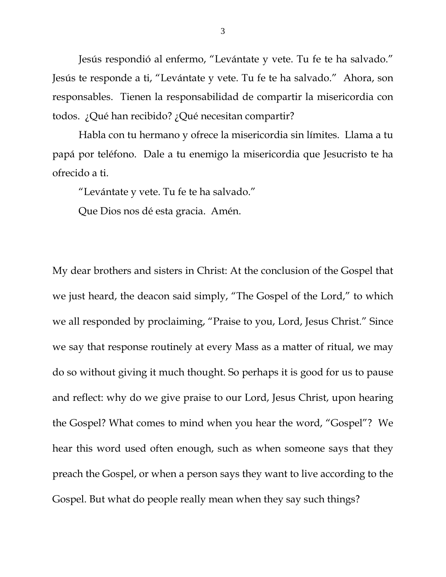Jesús respondió al enfermo, "Levántate y vete. Tu fe te ha salvado." Jesús te responde a ti, "Levántate y vete. Tu fe te ha salvado." Ahora, son responsables. Tienen la responsabilidad de compartir la misericordia con todos. ¿Qué han recibido? ¿Qué necesitan compartir?

Habla con tu hermano y ofrece la misericordia sin límites. Llama a tu papá por teléfono. Dale a tu enemigo la misericordia que Jesucristo te ha ofrecido a ti.

"Levántate y vete. Tu fe te ha salvado."

Que Dios nos dé esta gracia. Amén.

My dear brothers and sisters in Christ: At the conclusion of the Gospel that we just heard, the deacon said simply, "The Gospel of the Lord," to which we all responded by proclaiming, "Praise to you, Lord, Jesus Christ." Since we say that response routinely at every Mass as a matter of ritual, we may do so without giving it much thought. So perhaps it is good for us to pause and reflect: why do we give praise to our Lord, Jesus Christ, upon hearing the Gospel? What comes to mind when you hear the word, "Gospel"? We hear this word used often enough, such as when someone says that they preach the Gospel, or when a person says they want to live according to the Gospel. But what do people really mean when they say such things?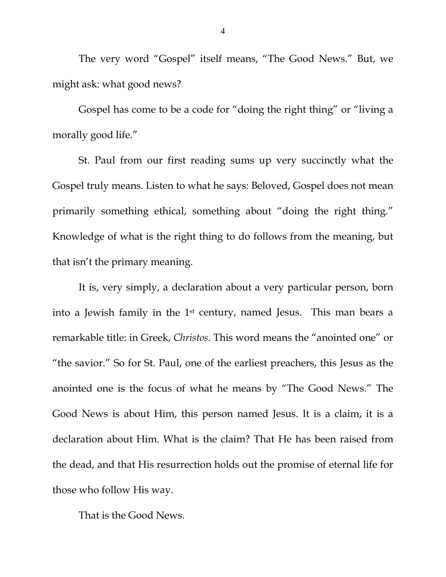The very word "Gospel" itself means, "The Good News." But, we might ask: what good news?

Gospel has come to be a code for "doing the right thing" or "living a morally good life."

St. Paul from our first reading sums up very succinctly what the Gospel truly means. Listen to what he says: Beloved, Gospel does not mean primarily something ethical, something about "doing the right thing." Knowledge of what is the right thing to do follows from the meaning, but that isn't the primary meaning.

It is, very simply, a declaration about a very particular person, born into a Jewish family in the 1st century, named Jesus. This man bears a remarkable title: in Greek, *Christos*. This word means the "anointed one" or "the savior." So for St. Paul, one of the earliest preachers, this Jesus as the anointed one is the focus of what he means by "The Good News." The Good News is about Him, this person named Jesus. It is a claim, it is a declaration about Him. What is the claim? That He has been raised from the dead, and that His resurrection holds out the promise of eternal life for those who follow His way.

That is the Good News.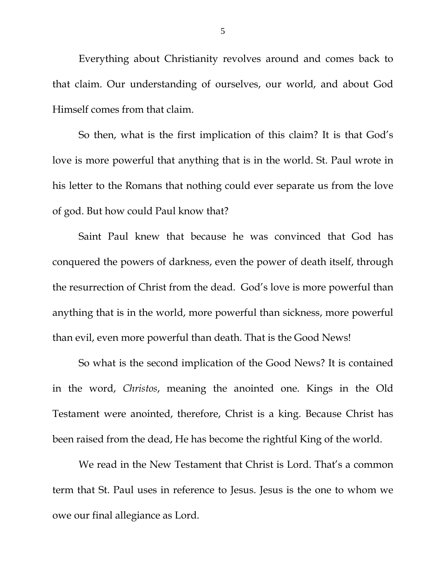Everything about Christianity revolves around and comes back to that claim. Our understanding of ourselves, our world, and about God Himself comes from that claim.

So then, what is the first implication of this claim? It is that God's love is more powerful that anything that is in the world. St. Paul wrote in his letter to the Romans that nothing could ever separate us from the love of god. But how could Paul know that?

Saint Paul knew that because he was convinced that God has conquered the powers of darkness, even the power of death itself, through the resurrection of Christ from the dead. God's love is more powerful than anything that is in the world, more powerful than sickness, more powerful than evil, even more powerful than death. That is the Good News!

So what is the second implication of the Good News? It is contained in the word, *Christos*, meaning the anointed one. Kings in the Old Testament were anointed, therefore, Christ is a king. Because Christ has been raised from the dead, He has become the rightful King of the world.

We read in the New Testament that Christ is Lord. That's a common term that St. Paul uses in reference to Jesus. Jesus is the one to whom we owe our final allegiance as Lord.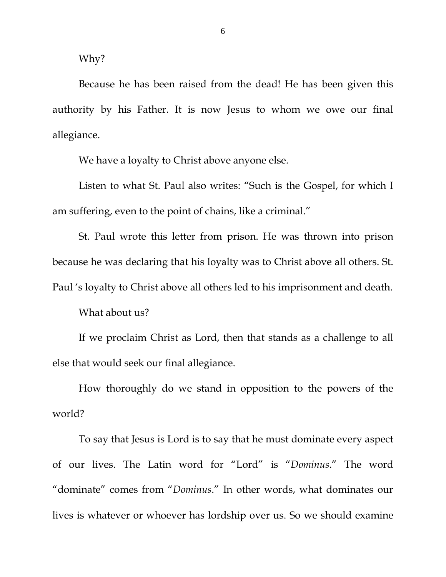Why?

Because he has been raised from the dead! He has been given this authority by his Father. It is now Jesus to whom we owe our final allegiance.

We have a loyalty to Christ above anyone else.

Listen to what St. Paul also writes: "Such is the Gospel, for which I am suffering, even to the point of chains, like a criminal."

St. Paul wrote this letter from prison. He was thrown into prison because he was declaring that his loyalty was to Christ above all others. St. Paul 's loyalty to Christ above all others led to his imprisonment and death.

What about us?

If we proclaim Christ as Lord, then that stands as a challenge to all else that would seek our final allegiance.

How thoroughly do we stand in opposition to the powers of the world?

To say that Jesus is Lord is to say that he must dominate every aspect of our lives. The Latin word for "Lord" is "*Dominus*." The word "dominate" comes from "*Dominus*." In other words, what dominates our lives is whatever or whoever has lordship over us. So we should examine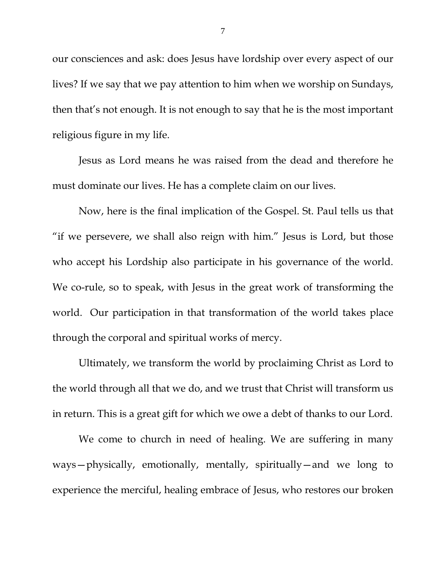our consciences and ask: does Jesus have lordship over every aspect of our lives? If we say that we pay attention to him when we worship on Sundays, then that's not enough. It is not enough to say that he is the most important religious figure in my life.

Jesus as Lord means he was raised from the dead and therefore he must dominate our lives. He has a complete claim on our lives.

Now, here is the final implication of the Gospel. St. Paul tells us that "if we persevere, we shall also reign with him." Jesus is Lord, but those who accept his Lordship also participate in his governance of the world. We co-rule, so to speak, with Jesus in the great work of transforming the world. Our participation in that transformation of the world takes place through the corporal and spiritual works of mercy.

Ultimately, we transform the world by proclaiming Christ as Lord to the world through all that we do, and we trust that Christ will transform us in return. This is a great gift for which we owe a debt of thanks to our Lord.

We come to church in need of healing. We are suffering in many ways—physically, emotionally, mentally, spiritually—and we long to experience the merciful, healing embrace of Jesus, who restores our broken